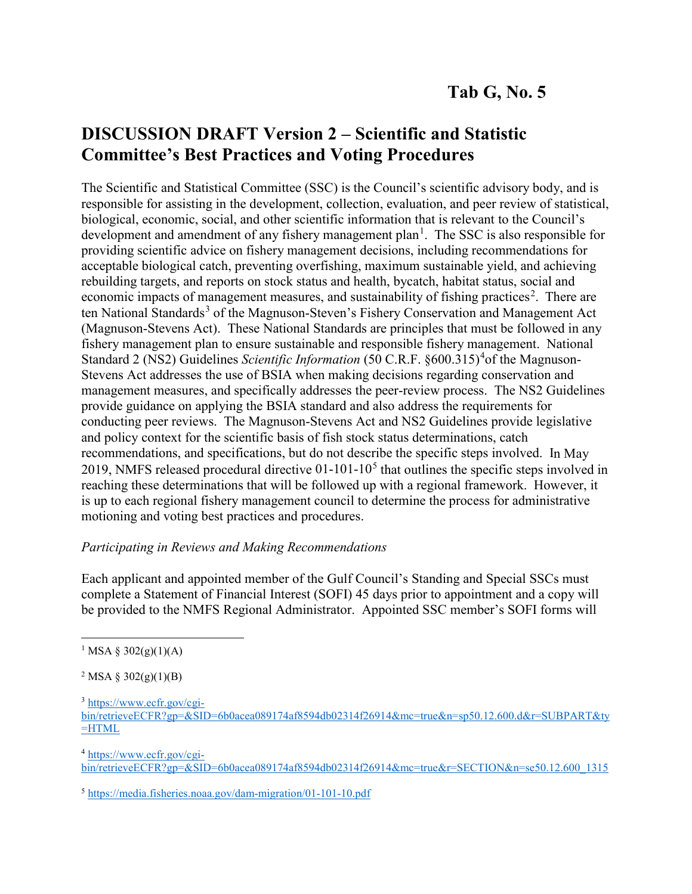## **DISCUSSION DRAFT Version 2 – Scientific and Statistic Committee's Best Practices and Voting Procedures**

The Scientific and Statistical Committee (SSC) is the Council's scientific advisory body, and is responsible for assisting in the development, collection, evaluation, and peer review of statistical, biological, economic, social, and other scientific information that is relevant to the Council's development and amendment of any fishery management plan<sup>[1](#page-0-0)</sup>. The SSC is also responsible for providing scientific advice on fishery management decisions, including recommendations for acceptable biological catch, preventing overfishing, maximum sustainable yield, and achieving rebuilding targets, and reports on stock status and health, bycatch, habitat status, social and economic impacts of management measures, and sustainability of fishing practices<sup>[2](#page-0-1)</sup>. There are ten National Standards<sup>[3](#page-0-2)</sup> of the Magnuson-Steven's Fishery Conservation and Management Act (Magnuson-Stevens Act). These National Standards are principles that must be followed in any fishery management plan to ensure sustainable and responsible fishery management. National Standard 2 (NS2) Guidelines *Scientific Information* (50 C.R.F. §600.315)<sup>[4](#page-0-3)</sup> of the Magnuson-Stevens Act addresses the use of BSIA when making decisions regarding conservation and management measures, and specifically addresses the peer-review process. The NS2 Guidelines provide guidance on applying the BSIA standard and also address the requirements for conducting peer reviews. The Magnuson-Stevens Act and NS2 Guidelines provide legislative and policy context for the scientific basis of fish stock status determinations, catch recommendations, and specifications, but do not describe the specific steps involved. In May 2019, NMFS released procedural directive  $01-101-10<sup>5</sup>$  $01-101-10<sup>5</sup>$  $01-101-10<sup>5</sup>$  that outlines the specific steps involved in reaching these determinations that will be followed up with a regional framework. However, it is up to each regional fishery management council to determine the process for administrative motioning and voting best practices and procedures.

## *Participating in Reviews and Making Recommendations*

Each applicant and appointed member of the Gulf Council's Standing and Special SSCs must complete a Statement of Financial Interest (SOFI) 45 days prior to appointment and a copy will be provided to the NMFS Regional Administrator. Appointed SSC member's SOFI forms will

<span id="page-0-2"></span><sup>3</sup> [https://www.ecfr.gov/cgi-](https://www.ecfr.gov/cgi-bin/retrieveECFR?gp=&SID=6b0acea089174af8594db02314f26914&mc=true&n=sp50.12.600.d&r=SUBPART&ty=HTML)

<span id="page-0-3"></span><sup>4</sup> [https://www.ecfr.gov/cgi-](https://www.ecfr.gov/cgi-bin/retrieveECFR?gp=&SID=6b0acea089174af8594db02314f26914&mc=true&r=SECTION&n=se50.12.600_1315)

[bin/retrieveECFR?gp=&SID=6b0acea089174af8594db02314f26914&mc=true&r=SECTION&n=se50.12.600\\_1315](https://www.ecfr.gov/cgi-bin/retrieveECFR?gp=&SID=6b0acea089174af8594db02314f26914&mc=true&r=SECTION&n=se50.12.600_1315)

<span id="page-0-4"></span><sup>5</sup> <https://media.fisheries.noaa.gov/dam-migration/01-101-10.pdf>

<span id="page-0-0"></span><sup>&</sup>lt;sup>1</sup> MSA § 302(g)(1)(A)

<span id="page-0-1"></span><sup>&</sup>lt;sup>2</sup> MSA § 302(g)(1)(B)

[bin/retrieveECFR?gp=&SID=6b0acea089174af8594db02314f26914&mc=true&n=sp50.12.600.d&r=SUBPART&ty](https://www.ecfr.gov/cgi-bin/retrieveECFR?gp=&SID=6b0acea089174af8594db02314f26914&mc=true&n=sp50.12.600.d&r=SUBPART&ty=HTML)  $=$ HTML